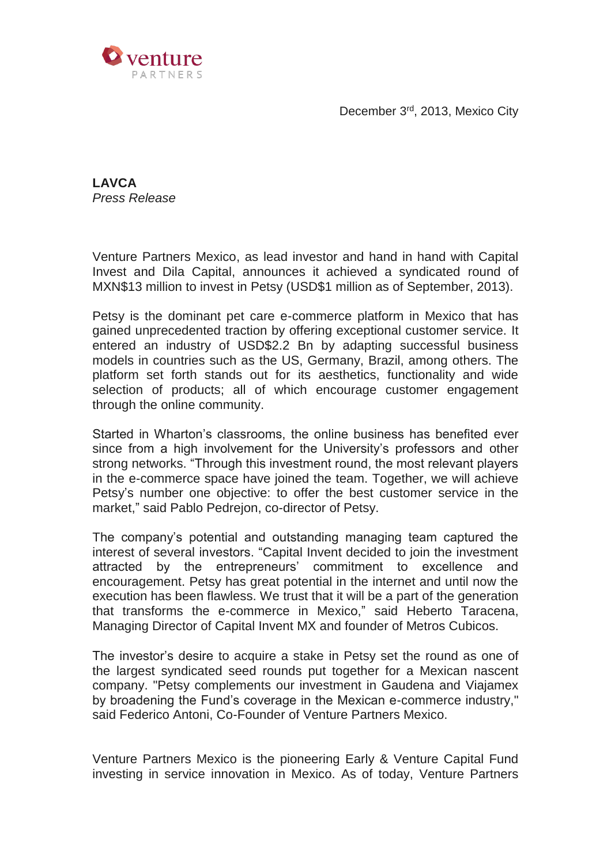December 3<sup>rd</sup>, 2013, Mexico City



**LAVCA** *Press Release*

Venture Partners Mexico, as lead investor and hand in hand with Capital Invest and Dila Capital, announces it achieved a syndicated round of MXN\$13 million to invest in Petsy (USD\$1 million as of September, 2013).

Petsy is the dominant pet care e-commerce platform in Mexico that has gained unprecedented traction by offering exceptional customer service. It entered an industry of USD\$2.2 Bn by adapting successful business models in countries such as the US, Germany, Brazil, among others. The platform set forth stands out for its aesthetics, functionality and wide selection of products; all of which encourage customer engagement through the online community.

Started in Wharton's classrooms, the online business has benefited ever since from a high involvement for the University's professors and other strong networks. "Through this investment round, the most relevant players in the e-commerce space have joined the team. Together, we will achieve Petsy's number one objective: to offer the best customer service in the market," said Pablo Pedrejon, co-director of Petsy.

The company's potential and outstanding managing team captured the interest of several investors. "Capital Invent decided to join the investment attracted by the entrepreneurs' commitment to excellence and encouragement. Petsy has great potential in the internet and until now the execution has been flawless. We trust that it will be a part of the generation that transforms the e-commerce in Mexico," said Heberto Taracena, Managing Director of Capital Invent MX and founder of Metros Cubicos.

The investor's desire to acquire a stake in Petsy set the round as one of the largest syndicated seed rounds put together for a Mexican nascent company. "Petsy complements our investment in Gaudena and Viajamex by broadening the Fund's coverage in the Mexican e-commerce industry," said Federico Antoni, Co-Founder of Venture Partners Mexico.

Venture Partners Mexico is the pioneering Early & Venture Capital Fund investing in service innovation in Mexico. As of today, Venture Partners